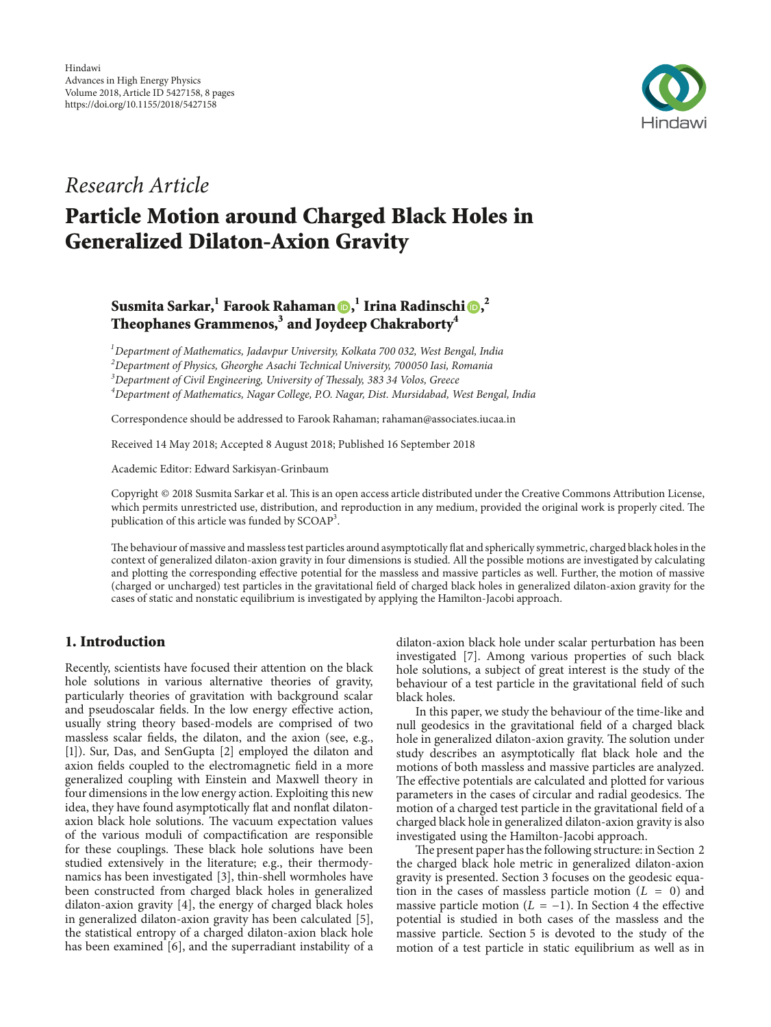

## Research Article

# Particle Motion around Charged Black Holes in Generalized Dilaton-Axion Gravity

### Susmita Sarkar[,](http://orcid.org/0000-0001-8475-945X) $^{\rm l}$  Farook Rahama[n](http://orcid.org/0000-0003-4923-7079) ( , $^{\rm l}$  Irina Radinschi ( ), $^{\rm 2}$ Theophanes Grammenos, $^{\rm 3}$  and Joydeep Chakraborty $^{\rm 4}$

 $1$ Department of Mathematics, Jadavpur University, Kolkata 700 032, West Bengal, India  $2$ Department of Physics, Gheorghe Asachi Technical University, 700050 Iasi, Romania <sup>3</sup>Department of Civil Engineering, University of Thessaly, 383 34 Volos, Greece <sup>4</sup>Department of Mathematics, Nagar College, P.O. Nagar, Dist. Mursidabad, West Bengal, India

Correspondence should be addressed to Farook Rahaman; rahaman@associates.iucaa.in

Received 14 May 2018; Accepted 8 August 2018; Published 16 September 2018

Academic Editor: Edward Sarkisyan-Grinbaum

Copyright © 2018 Susmita Sarkar et al. This is an open access article distributed under the Creative Commons Attribution License, which permits unrestricted use, distribution, and reproduction in any medium, provided the original work is properly cited. The publication of this article was funded by SCOAP<sup>3</sup>.

The behaviour of massive and massless test particles around asymptotically flat and spherically symmetric, charged black holes in the context of generalized dilaton-axion gravity in four dimensions is studied. All the possible motions are investigated by calculating and plotting the corresponding effective potential for the massless and massive particles as well. Further, the motion of massive (charged or uncharged) test particles in the gravitational field of charged black holes in generalized dilaton-axion gravity for the cases of static and nonstatic equilibrium is investigated by applying the Hamilton-Jacobi approach.

### 1. Introduction

Recently, scientists have focused their attention on the black hole solutions in various alternative theories of gravity, particularly theories of gravitation with background scalar and pseudoscalar fields. In the low energy effective action, usually string theory based-models are comprised of two massless scalar fields, the dilaton, and the axion (see, e.g., [\[1](#page-7-0)]). Sur, Das, and SenGupta [\[2\]](#page-7-1) employed the dilaton and axion fields coupled to the electromagnetic field in a more generalized coupling with Einstein and Maxwell theory in four dimensions in the low energy action. Exploiting this new idea, they have found asymptotically flat and nonflat dilatonaxion black hole solutions. The vacuum expectation values of the various moduli of compactification are responsible for these couplings. These black hole solutions have been studied extensively in the literature; e.g., their thermodynamics has been investigated [\[3\]](#page-7-2), thin-shell wormholes have been constructed from charged black holes in generalized dilaton-axion gravity [\[4](#page-7-3)], the energy of charged black holes in generalized dilaton-axion gravity has been calculated [\[5\]](#page-7-4), the statistical entropy of a charged dilaton-axion black hole has been examined [\[6\]](#page-7-5), and the superradiant instability of a

dilaton-axion black hole under scalar perturbation has been investigated [\[7\]](#page-7-6). Among various properties of such black hole solutions, a subject of great interest is the study of the behaviour of a test particle in the gravitational field of such black holes.

In this paper, we study the behaviour of the time-like and null geodesics in the gravitational field of a charged black hole in generalized dilaton-axion gravity. The solution under study describes an asymptotically flat black hole and the motions of both massless and massive particles are analyzed. The effective potentials are calculated and plotted for various parameters in the cases of circular and radial geodesics. The motion of a charged test particle in the gravitational field of a charged black hole in generalized dilaton-axion gravity is also investigated using the Hamilton-Jacobi approach.

The present paper has the following structure: in [Section 2](#page-1-0) the charged black hole metric in generalized dilaton-axion gravity is presented. [Section 3](#page-1-1) focuses on the geodesic equation in the cases of massless particle motion  $(L = 0)$  and massive particle motion ( $L = -1$ ). In [Section 4](#page-2-0) the effective potential is studied in both cases of the massless and the massive particle. [Section 5](#page-3-0) is devoted to the study of the motion of a test particle in static equilibrium as well as in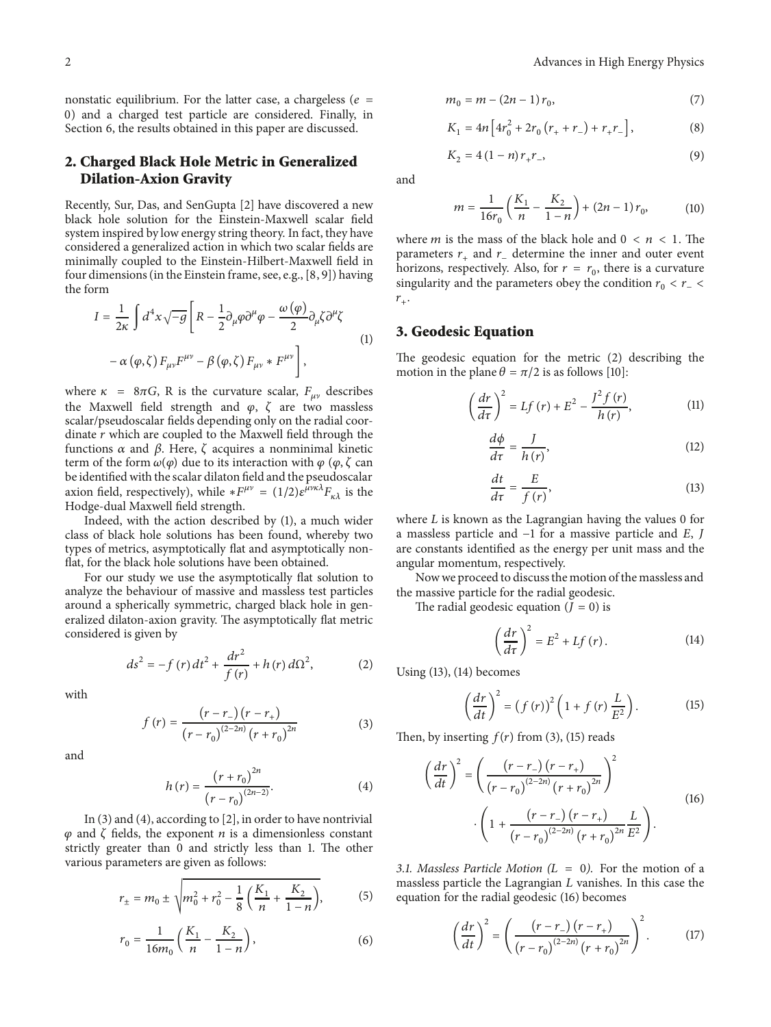nonstatic equilibrium. For the latter case, a chargeless ( $e =$ 0) and a charged test particle are considered. Finally, in [Section 6,](#page-6-0) the results obtained in this paper are discussed.

#### <span id="page-1-0"></span>2. Charged Black Hole Metric in Generalized Dilation-Axion Gravity

Recently, Sur, Das, and SenGupta [\[2\]](#page-7-1) have discovered a new black hole solution for the Einstein-Maxwell scalar field system inspired by low energy string theory. In fact, they have considered a generalized action in which two scalar fields are minimally coupled to the Einstein-Hilbert-Maxwell field in four dimensions (in the Einstein frame, see, e.g., [\[8](#page-7-7), [9](#page-7-8)]) having the form

$$
I = \frac{1}{2\kappa} \int d^4x \sqrt{-g} \left[ R - \frac{1}{2} \partial_\mu \varphi \partial^\mu \varphi - \frac{\omega(\varphi)}{2} \partial_\mu \zeta \partial^\mu \zeta \right]
$$
  

$$
- \alpha(\varphi, \zeta) F_{\mu\nu} F^{\mu\nu} - \beta(\varphi, \zeta) F_{\mu\nu} * F^{\mu\nu} \right],
$$
 (1)

where  $\kappa = 8\pi G$ , R is the curvature scalar,  $F_{\mu\nu}$  describes the Maxwell field strength and  $\varphi$ ,  $\zeta$  are two massless scalar/pseudoscalar fields depending only on the radial coordinate  $r$  which are coupled to the Maxwell field through the functions  $\alpha$  and  $\beta$ . Here,  $\zeta$  acquires a nonminimal kinetic term of the form  $\omega(\varphi)$  due to its interaction with  $\varphi$  ( $\varphi$ ,  $\zeta$  can be identified with the scalar dilaton field and the pseudoscalar axion field, respectively), while  $*F^{\mu\nu} = (1/2)\varepsilon^{\mu\nu\kappa\lambda}F_{\kappa\lambda}$  is the Hodge-dual Maxwell field strength.

Indeed, with the action described by [\(1\),](#page-1-2) a much wider class of black hole solutions has been found, whereby two types of metrics, asymptotically flat and asymptotically nonflat, for the black hole solutions have been obtained.

For our study we use the asymptotically flat solution to analyze the behaviour of massive and massless test particles around a spherically symmetric, charged black hole in generalized dilaton-axion gravity. The asymptotically flat metric considered is given by

$$
ds^{2} = -f(r) dt^{2} + \frac{dr^{2}}{f(r)} + h(r) d\Omega^{2},
$$
 (2)

with

$$
f(r) = \frac{(r - r_{-})(r - r_{+})}{(r - r_{0})^{(2-2n)}(r + r_{0})^{2n}}
$$
 (3)

and

$$
h(r) = \frac{(r + r_0)^{2n}}{(r - r_0)^{(2n - 2)}}.
$$
\n(4)

In [\(3\)](#page-1-3) and [\(4\),](#page-1-4) according to [\[2\]](#page-7-1), in order to have nontrivial  $\varphi$  and  $\zeta$  fields, the exponent  $n$  is a dimensionless constant strictly greater than 0 and strictly less than 1. The other various parameters are given as follows:

$$
r_{\pm} = m_0 \pm \sqrt{m_0^2 + r_0^2 - \frac{1}{8} \left( \frac{K_1}{n} + \frac{K_2}{1 - n} \right)},
$$
 (5)

$$
r_0 = \frac{1}{16m_0} \left( \frac{K_1}{n} - \frac{K_2}{1 - n} \right),\tag{6}
$$

$$
m_0 = m - (2n - 1) r_0,
$$
\n(7)

$$
K_1 = 4n \left[ 4r_0^2 + 2r_0 \left( r_+ + r_- \right) + r_+ r_- \right], \tag{8}
$$

$$
K_2 = 4(1 - n)r_+r_-\tag{9}
$$

and

$$
m = \frac{1}{16r_0} \left( \frac{K_1}{n} - \frac{K_2}{1-n} \right) + (2n - 1) r_0, \tag{10}
$$

where *m* is the mass of the black hole and  $0 < n < 1$ . The parameters  $r_{+}$  and  $r_{-}$  determine the inner and outer event horizons, respectively. Also, for  $r = r_0$ , there is a curvature singularity and the parameters obey the condition  $r_0 < r_ r_{+}$ .

#### <span id="page-1-2"></span><span id="page-1-1"></span>3. Geodesic Equation

The geodesic equation for the metric [\(2\)](#page-1-5) describing the motion in the plane  $\theta = \pi/2$  is as follows [\[10\]](#page-7-9):

$$
\left(\frac{dr}{d\tau}\right)^2 = Lf\left(r\right) + E^2 - \frac{J^2f\left(r\right)}{h\left(r\right)},\tag{11}
$$

<span id="page-1-10"></span>
$$
\frac{d\phi}{d\tau} = \frac{J}{h(r)},\tag{12}
$$

<span id="page-1-6"></span>
$$
\frac{dt}{d\tau} = \frac{E}{f(r)},\tag{13}
$$

where  $L$  is known as the Lagrangian having the values 0 for a massless particle and  $-1$  for a massive particle and  $E$ ,  $J$ are constants identified as the energy per unit mass and the angular momentum, respectively.

Now we proceed to discuss the motion of the massless and the massive particle for the radial geodesic.

The radial geodesic equation  $(J = 0)$  is

<span id="page-1-8"></span><span id="page-1-7"></span>
$$
\left(\frac{dr}{d\tau}\right)^2 = E^2 + Lf\left(r\right). \tag{14}
$$

<span id="page-1-5"></span>Using [\(13\),](#page-1-6) [\(14\)](#page-1-7) becomes

<span id="page-1-9"></span>
$$
\left(\frac{dr}{dt}\right)^2 = \left(f\left(r\right)\right)^2 \left(1 + f\left(r\right)\frac{L}{E^2}\right). \tag{15}
$$

<span id="page-1-4"></span><span id="page-1-3"></span>Then, by inserting  $f(r)$  from [\(3\),](#page-1-3) [\(15\)](#page-1-8) reads

$$
\left(\frac{dr}{dt}\right)^2 = \left(\frac{(r-r_{-})(r-r_{+})}{(r-r_{0})^{(2-2n)}(r+r_{0})^{2n}}\right)^2
$$
\n
$$
\cdot \left(1 + \frac{(r-r_{-})(r-r_{+})}{(r-r_{0})^{(2-2n)}(r+r_{0})^{2n}}\frac{L}{E^2}\right).
$$
\n(16)

3.1. Massless Particle Motion  $(L = 0)$ . For the motion of a massless particle the Lagrangian  $L$  vanishes. In this case the equation for the radial geodesic [\(16\)](#page-1-9) becomes

$$
\left(\frac{dr}{dt}\right)^2 = \left(\frac{(r-r_{-})(r-r_{+})}{(r-r_{0})^{(2-2n)}(r+r_{0})^{2n}}\right)^2.
$$
 (17)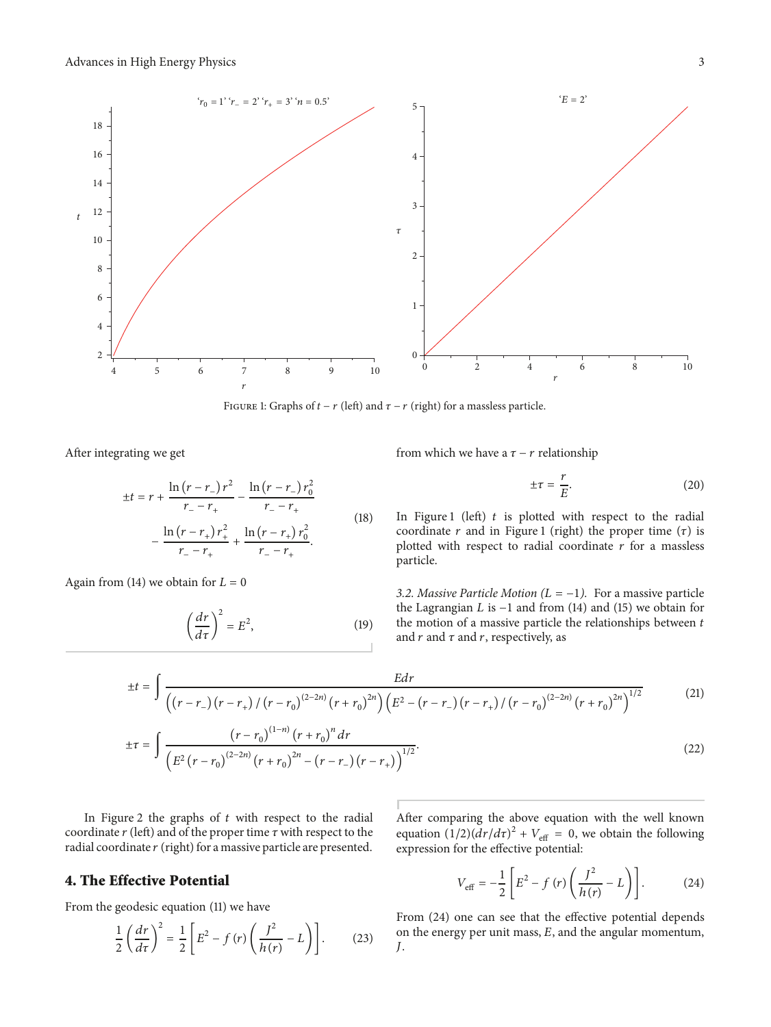

<span id="page-2-1"></span>FIGURE 1: Graphs of  $t - r$  (left) and  $\tau - r$  (right) for a massless particle.

After integrating we get

$$
\pm t = r + \frac{\ln(r - r_{-})r^{2}}{r_{-} - r_{+}} - \frac{\ln(r - r_{-})r_{0}^{2}}{r_{-} - r_{+}} - \frac{\ln(r - r_{+})r_{+}^{2}}{r_{-} - r_{+}} + \frac{\ln(r - r_{+})r_{0}^{2}}{r_{-} - r_{+}}.
$$
\n(18)

Again from [\(14\)](#page-1-7) we obtain for  $L = 0$ 

$$
\left(\frac{dr}{d\tau}\right)^2 = E^2,\tag{19}
$$

from which we have a  $\tau$  – r relationship

$$
\pm \tau = \frac{r}{E}.\tag{20}
$$

In [Figure 1](#page-2-1) (left)  $t$  is plotted with respect to the radial coordinate  $r$  and in [Figure 1](#page-2-1) (right) the proper time  $(τ)$  is plotted with respect to radial coordinate  $r$  for a massless particle.

3.2. Massive Particle Motion ( $L = -1$ ). For a massive particle the Lagrangian  $L$  is  $-1$  and from [\(14\)](#page-1-7) and [\(15\)](#page-1-8) we obtain for the motion of a massive particle the relationships between  $t$ and  $r$  and  $\tau$ , respectively, as

$$
\pm t = \int \frac{E dr}{\left( \left( r - r_{-} \right) \left( r - r_{+} \right) / \left( r - r_{0} \right)^{(2-2n)} \left( r + r_{0} \right)^{2n} \right) \left( E^{2} - \left( r - r_{-} \right) \left( r - r_{+} \right) / \left( r - r_{0} \right)^{(2-2n)} \left( r + r_{0} \right)^{2n} \right)^{1/2}}
$$
(21)

$$
\pm \tau = \int \frac{\left(r - r_0\right)^{(1-n)} \left(r + r_0\right)^n dr}{\left(E^2 \left(r - r_0\right)^{(2-2n)} \left(r + r_0\right)^{2n} - \left(r - r_-\right) \left(r - r_+\right)\right)^{1/2}}.
$$
\n(22)

In [Figure 2](#page-3-1) the graphs of  $t$  with respect to the radial coordinate  $r$  (left) and of the proper time  $\tau$  with respect to the radial coordinate  $r$  (right) for a massive particle are presented.

#### <span id="page-2-0"></span>4. The Effective Potential

From the geodesic equation [\(11\)](#page-1-10) we have

$$
\frac{1}{2}\left(\frac{dr}{d\tau}\right)^2 = \frac{1}{2}\left[E^2 - f\left(r\right)\left(\frac{J^2}{h\left(r\right)} - L\right)\right].\tag{23}
$$

After comparing the above equation with the well known equation  $(1/2)(dr/d\tau)^2 + V_{\text{eff}} = 0$ , we obtain the following expression for the effective potential:

<span id="page-2-2"></span>
$$
V_{\text{eff}} = -\frac{1}{2} \left[ E^2 - f(r) \left( \frac{f^2}{h(r)} - L \right) \right].
$$
 (24)

From [\(24\)](#page-2-2) one can see that the effective potential depends on the energy per unit mass,  $E$ , and the angular momentum, J.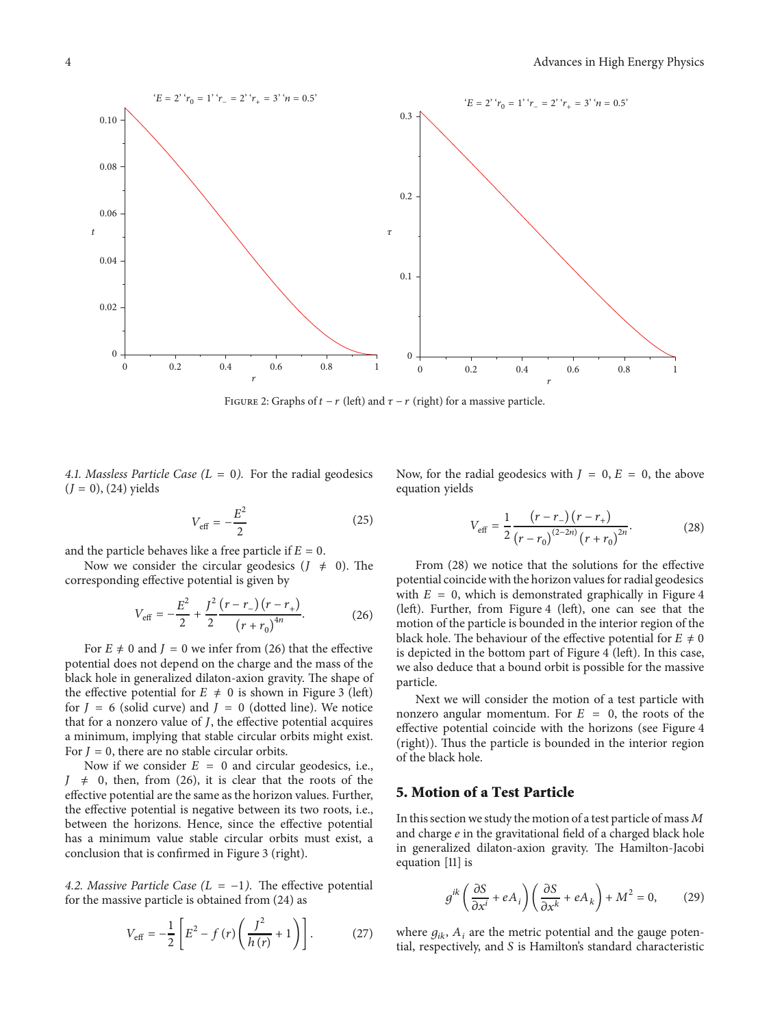

<span id="page-3-1"></span>FIGURE 2: Graphs of  $t - r$  (left) and  $\tau - r$  (right) for a massive particle.

4.1. Massless Particle Case  $(L = 0)$ . For the radial geodesics  $(J = 0)$ , [\(24\)](#page-2-2) yields

$$
V_{\text{eff}} = -\frac{E^2}{2} \tag{25}
$$

and the particle behaves like a free particle if  $E=0$ .

Now we consider the circular geodesics  $(J \neq 0)$ . The corresponding effective potential is given by

$$
V_{\text{eff}} = -\frac{E^2}{2} + \frac{J^2}{2} \frac{(r - r_{-}) (r - r_{+})}{(r + r_0)^{4n}}.
$$
 (26)

For  $E \neq 0$  and  $J = 0$  we infer from [\(26\)](#page-3-2) that the effective potential does not depend on the charge and the mass of the black hole in generalized dilaton-axion gravity. The shape of the effective potential for  $E \neq 0$  is shown in [Figure 3](#page-4-0) (left) for  $J = 6$  (solid curve) and  $J = 0$  (dotted line). We notice that for a nonzero value of *, the effective potential acquires* a minimum, implying that stable circular orbits might exist. For  $J = 0$ , there are no stable circular orbits.

Now if we consider  $E = 0$  and circular geodesics, i.e.,  $J \neq 0$ , then, from [\(26\),](#page-3-2) it is clear that the roots of the effective potential are the same as the horizon values. Further, the effective potential is negative between its two roots, i.e., between the horizons. Hence, since the effective potential has a minimum value stable circular orbits must exist, a conclusion that is confirmed in [Figure 3](#page-4-0) (right).

4.2. Massive Particle Case ( $L = -1$ ). The effective potential for the massive particle is obtained from [\(24\)](#page-2-2) as

$$
V_{\text{eff}} = -\frac{1}{2} \left[ E^2 - f(r) \left( \frac{f^2}{h(r)} + 1 \right) \right].
$$
 (27)

Now, for the radial geodesics with  $J = 0$ ,  $E = 0$ , the above equation yields

<span id="page-3-3"></span>
$$
V_{\text{eff}} = \frac{1}{2} \frac{(r - r_{-}) (r - r_{+})}{(r - r_{0})^{(2 - 2n)} (r + r_{0})^{2n}}.
$$
 (28)

<span id="page-3-2"></span>From [\(28\)](#page-3-3) we notice that the solutions for the effective potential coincide with the horizon values for radial geodesics with  $E = 0$ , which is demonstrated graphically in [Figure 4](#page-4-1) (left). Further, from [Figure 4](#page-4-1) (left), one can see that the motion of the particle is bounded in the interior region of the black hole. The behaviour of the effective potential for  $E \neq 0$ is depicted in the bottom part of [Figure 4](#page-4-1) (left). In this case, we also deduce that a bound orbit is possible for the massive particle.

Next we will consider the motion of a test particle with nonzero angular momentum. For  $E = 0$ , the roots of the effective potential coincide with the horizons (see [Figure 4](#page-4-1) (right)). Thus the particle is bounded in the interior region of the black hole.

#### <span id="page-3-0"></span>5. Motion of a Test Particle

In this section we study the motion of a test particle of mass  $M$ and charge  $e$  in the gravitational field of a charged black hole in generalized dilaton-axion gravity. The Hamilton-Jacobi equation [\[11](#page-7-10)] is

$$
g^{ik}\left(\frac{\partial S}{\partial x^i} + eA_i\right)\left(\frac{\partial S}{\partial x^k} + eA_k\right) + M^2 = 0,\tag{29}
$$

<span id="page-3-4"></span>where  $g_{ik}$ ,  $A_i$  are the metric potential and the gauge potential, respectively, and  $S$  is Hamilton's standard characteristic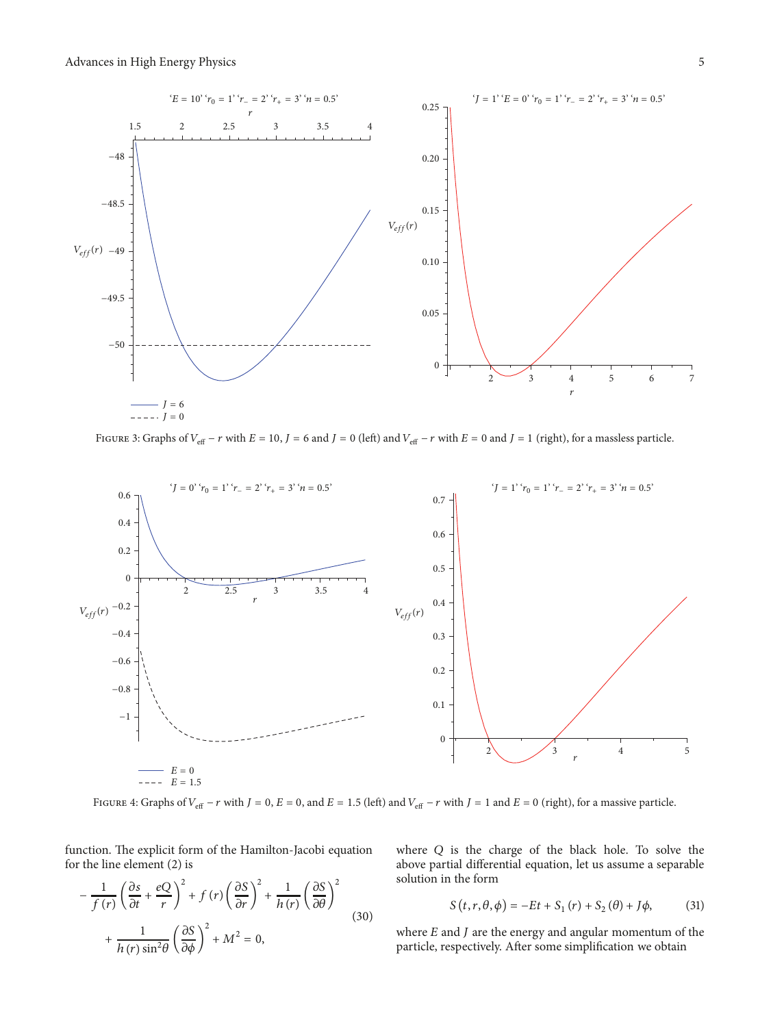

<span id="page-4-0"></span>FIGURE 3: Graphs of  $V_{\text{eff}} - r$  with  $E = 10$ ,  $J = 6$  and  $J = 0$  (left) and  $V_{\text{eff}} - r$  with  $E = 0$  and  $J = 1$  (right), for a massless particle.



<span id="page-4-1"></span>FIGURE 4: Graphs of  $V_{\text{eff}} - r$  with  $J = 0$ ,  $E = 0$ , and  $E = 1.5$  (left) and  $V_{\text{eff}} - r$  with  $J = 1$  and  $E = 0$  (right), for a massive particle.

function. The explicit form of the Hamilton-Jacobi equation for the line element [\(2\)](#page-1-5) is

$$
-\frac{1}{f(r)}\left(\frac{\partial s}{\partial t} + \frac{eQ}{r}\right)^2 + f(r)\left(\frac{\partial S}{\partial r}\right)^2 + \frac{1}{h(r)}\left(\frac{\partial S}{\partial \theta}\right)^2 + \frac{1}{h(r)\sin^2\theta}\left(\frac{\partial S}{\partial \phi}\right)^2 + M^2 = 0,
$$
\n(30)

where  $Q$  is the charge of the black hole. To solve the above partial differential equation, let us assume a separable solution in the form

$$
S(t, r, \theta, \phi) = -Et + S_1(r) + S_2(\theta) + J\phi,
$$
 (31)

where  $E$  and  $J$  are the energy and angular momentum of the particle, respectively. After some simplification we obtain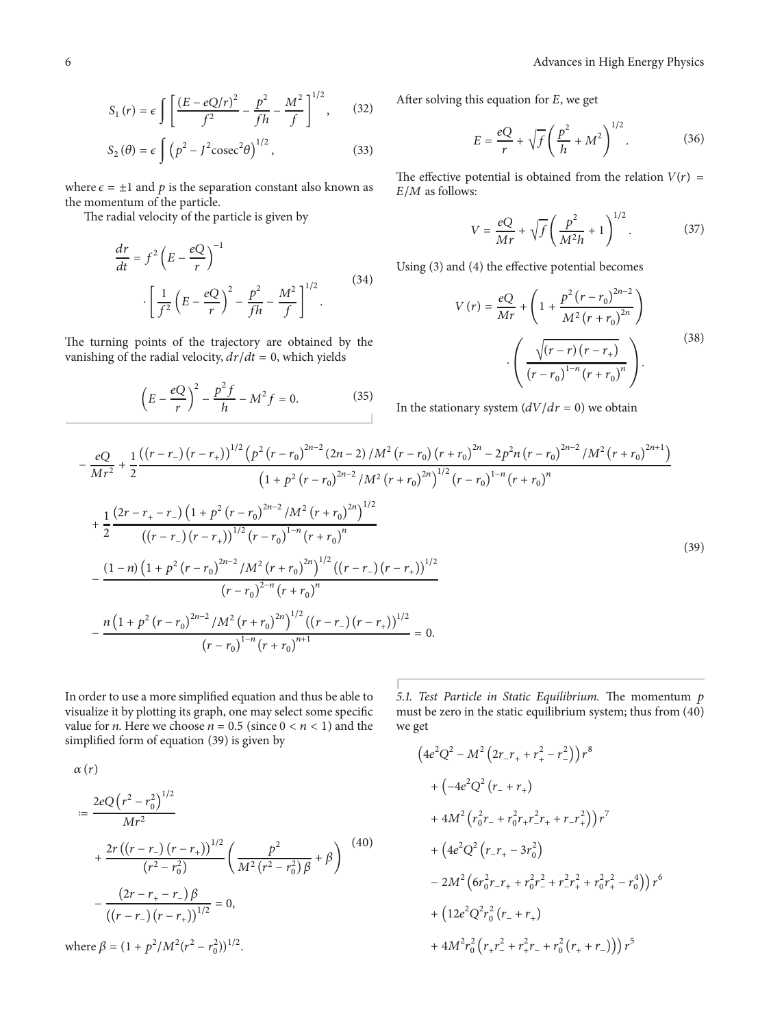$$
S_1(r) = \epsilon \int \left[ \frac{(E - eQ/r)^2}{f^2} - \frac{p^2}{fh} - \frac{M^2}{f} \right]^{1/2}, \quad (32)
$$

$$
S_2(\theta) = \epsilon \int (p^2 - J^2 \csc^2 \theta)^{1/2}, \qquad (33)
$$

where  $\epsilon = \pm 1$  and p is the separation constant also known as the momentum of the particle.

The radial velocity of the particle is given by

$$
\frac{dr}{dt} = f^2 \left( E - \frac{eQ}{r} \right)^{-1}
$$

$$
\cdot \left[ \frac{1}{f^2} \left( E - \frac{eQ}{r} \right)^2 - \frac{p^2}{fh} - \frac{M^2}{f} \right]^{1/2}.
$$

$$
(34)
$$

The turning points of the trajectory are obtained by the vanishing of the radial velocity,  $dr/dt = 0$ , which yields

$$
\left(E - \frac{eQ}{r}\right)^2 - \frac{p^2 f}{h} - M^2 f = 0.
$$
 (35)

After solving this equation for  $E$ , we get

$$
E = \frac{eQ}{r} + \sqrt{f} \left(\frac{p^2}{h} + M^2\right)^{1/2}.\tag{36}
$$

The effective potential is obtained from the relation  $V(r)$  =  $E/M$  as follows:

$$
V = \frac{eQ}{Mr} + \sqrt{f} \left(\frac{p^2}{M^2h} + 1\right)^{1/2}.
$$
 (37)

Using [\(3\)](#page-1-3) and [\(4\)](#page-1-4) the effective potential becomes

$$
V(r) = \frac{eQ}{Mr} + \left(1 + \frac{p^{2}(r - r_{0})^{2n-2}}{M^{2}(r + r_{0})^{2n}}\right)
$$

$$
\cdot \left(\frac{\sqrt{(r - r)(r - r_{+})}}{(r - r_{0})^{1-n}(r + r_{0})^{n}}\right).
$$
(38)

<span id="page-5-0"></span>In the stationary system  $(dV/dr = 0)$  we obtain

$$
-\frac{eQ}{Mr^{2}} + \frac{1}{2} \frac{((r-r_{-})(r-r_{+}))^{1/2} (p^{2}(r-r_{0})^{2n-2} (2n-2)/M^{2}(r-r_{0}) (r+r_{0})^{2n} - 2p^{2}n(r-r_{0})^{2n-2}/M^{2}(r+r_{0})^{2n+1})}{(1+p^{2}(r-r_{0})^{2n-2}/M^{2}(r+r_{0})^{2n})^{1/2}(r-r_{0})^{1-n}(r+r_{0})^{n}}
$$
  
+ 
$$
\frac{1}{2} \frac{(2r-r_{+}-r_{-})(1+p^{2}(r-r_{0})^{2n-2}/M^{2}(r+r_{0})^{2n})^{1/2}}{((r-r_{-})(r-r_{+}))^{1/2}(r-r_{0})^{1-n}(r+r_{0})^{n}}
$$
  
- 
$$
\frac{(1-n)(1+p^{2}(r-r_{0})^{2n-2}/M^{2}(r+r_{0})^{2n})^{1/2}((r-r_{-})(r-r_{+}))^{1/2}}{(r-r_{0})^{2-n}(r+r_{0})^{n}}
$$
  
- 
$$
\frac{n(1+p^{2}(r-r_{0})^{2n-2}/M^{2}(r+r_{0})^{2n})^{1/2}((r-r_{-})(r-r_{+}))^{1/2}}{(r-r_{0})^{1-n}(r+r_{0})^{n+1}} = 0.
$$
 (5.1)

In order to use a more simplified equation and thus be able to visualize it by plotting its graph, one may select some specific value for *n*. Here we choose  $n = 0.5$  (since  $0 < n < 1$ ) and the simplified form of equation [\(39\)](#page-5-0) is given by

5.1. Test Particle in Static Equilibrium. The momentum p must be zero in the static equilibrium system; thus from [\(40\)](#page-5-1) we get

$$
\alpha(r)
$$
\n
$$
= \frac{2eQ(r^2 - r_0^2)^{1/2}}{Mr^2} + \frac{2r((r - r_{-})(r - r_{+}))^{1/2}}{(r^2 - r_0^2)} \left(\frac{p^2}{M^2(r^2 - r_0^2)\beta} + \beta\right)^{(40)} - \frac{(2r - r_{+} - r_{-})\beta}{((r - r_{-})(r - r_{+}))^{1/2}} = 0,
$$
\nwhere  $\beta = (1 + p^2/M^2(r^2 - r_0^2))^{1/2}$ .

<span id="page-5-1"></span>
$$
(4e2Q2 - M2 (2r-r+ + r+2 - r-2 ) r8
$$
  
+ (-4e<sup>2</sup>Q<sup>2</sup> (r<sub>-</sub> + r<sub>+</sub>)  
+ 4M<sup>2</sup> (r<sub>0</sub><sup>2</sup>r<sub>-</sub> + r<sub>0</sub><sup>2</sup>r<sub>+</sub>r<sub>-</sub><sup>2</sup>r<sub>+</sub> + r<sub>-</sub>r<sub>+</sub><sup>2</sup> ) r<sup>7</sup>  
+ (4e<sup>2</sup>Q<sup>2</sup> (r<sub>-</sub>r<sub>+</sub> - 3r<sub>0</sub><sup>2</sup>)  
- 2M<sup>2</sup> (6r<sub>0</sub><sup>2</sup>r<sub>-</sub>r<sub>+</sub> + r<sub>0</sub><sup>2</sup>r<sub>-</sub><sup>2</sup> + r<sub>-</sub><sup>2</sup>r<sub>+</sub><sup>2</sup> + r<sub>0</sub><sup>2</sup>r<sub>+</sub><sup>2</sup> - r<sub>0</sub><sup>4</sup> ) r<sup>6</sup>  
+ (12e<sup>2</sup>Q<sup>2</sup>r<sub>0</sub><sup>2</sup> (r<sub>-</sub> + r<sub>+</sub>)  
+ 4M<sup>2</sup>r<sub>0</sub><sup>2</sup> (r<sub>+</sub>r<sub>-</sub><sup>2</sup> + r<sub>+</sub><sup>2</sup>r<sub>-</sub> + r<sub>0</sub><sup>2</sup> (r<sub>+</sub> + r<sub>-</sub>)) )r<sup>5</sup>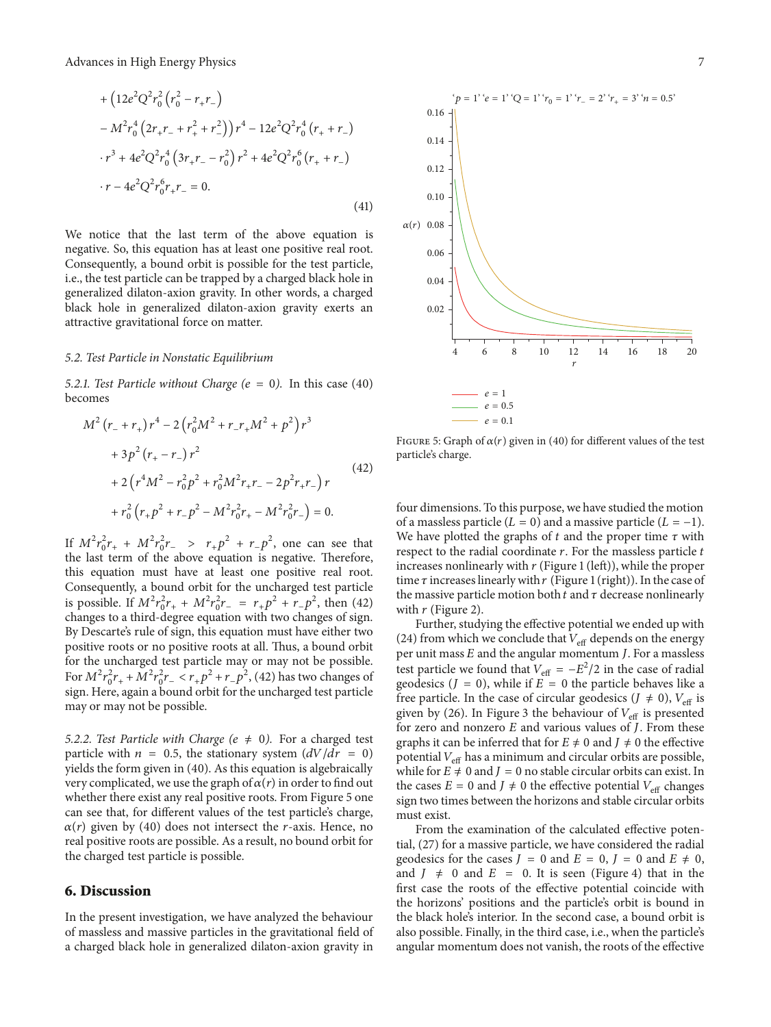+
$$
(12e^{2}Q^{2}r_{0}^{2}(r_{0}^{2}-r_{+}r_{-})
$$
  
\n-
$$
M^{2}r_{0}^{4}(2r_{+}r_{-}+r_{+}^{2}+r_{-}^{2}))r^{4}-12e^{2}Q^{2}r_{0}^{4}(r_{+}+r_{-})
$$
  
\n
$$
\cdot r^{3}+4e^{2}Q^{2}r_{0}^{4}(3r_{+}r_{-}-r_{0}^{2})r^{2}+4e^{2}Q^{2}r_{0}^{6}(r_{+}+r_{-})
$$
  
\n
$$
\cdot r-4e^{2}Q^{2}r_{0}^{6}r_{+}r_{-}=0.
$$
\n(41)

We notice that the last term of the above equation is negative. So, this equation has at least one positive real root. Consequently, a bound orbit is possible for the test particle, i.e., the test particle can be trapped by a charged black hole in generalized dilaton-axion gravity. In other words, a charged black hole in generalized dilaton-axion gravity exerts an attractive gravitational force on matter.

#### 5.2. Test Particle in Nonstatic Equilibrium

5.2.1. Test Particle without Charge ( $e=0$ ). In this case [\(40\)](#page-5-1) becomes

$$
M^{2}(r_{-} + r_{+})r^{4} - 2(r_{0}^{2}M^{2} + r_{-}r_{+}M^{2} + p^{2})r^{3}
$$
  
+  $3p^{2}(r_{+} - r_{-})r^{2}$   
+  $2(r^{4}M^{2} - r_{0}^{2}p^{2} + r_{0}^{2}M^{2}r_{+}r_{-} - 2p^{2}r_{+}r_{-})r$   
+  $r_{0}^{2}(r_{+}p^{2} + r_{-}p^{2} - M^{2}r_{0}^{2}r_{+} - M^{2}r_{0}^{2}r_{-}) = 0.$  (42)

If  $M^2 r_0^2 r_+ + M^2 r_0^2 r_- > r_+ p^2 + r_- p^2$ , one can see that the last term of the above equation is negative. Therefore, this equation must have at least one positive real root. Consequently, a bound orbit for the uncharged test particle is possible. If  $M^2 r_0^2 r_+ + M^2 r_0^2 r_- = r_+ p^2 + r_- p^2$ , then [\(42\)](#page-6-1) changes to a third-degree equation with two changes of sign. By Descarte's rule of sign, this equation must have either two positive roots or no positive roots at all. Thus, a bound orbit for the uncharged test particle may or may not be possible. For  $M^2 r_0^2 r_+ + M^2 r_0^2 r_- < r_+ p^2 + r_- p^2$ , [\(42\)](#page-6-1) has two changes of sign. Here, again a bound orbit for the uncharged test particle may or may not be possible.

5.2.2. Test Particle with Charge ( $e \neq 0$ ). For a charged test particle with  $n = 0.5$ , the stationary system  $\left(\frac{dV}{dr} = 0\right)$ yields the form given in [\(40\).](#page-5-1) As this equation is algebraically very complicated, we use the graph of  $\alpha(r)$  in order to find out whether there exist any real positive roots. From [Figure 5](#page-6-2) one can see that, for different values of the test particle's charge,  $\alpha(r)$  given by [\(40\)](#page-5-1) does not intersect the r-axis. Hence, no real positive roots are possible. As a result, no bound orbit for the charged test particle is possible.

#### <span id="page-6-0"></span>6. Discussion

In the present investigation, we have analyzed the behaviour of massless and massive particles in the gravitational field of a charged black hole in generalized dilaton-axion gravity in



<span id="page-6-2"></span><span id="page-6-1"></span>FIGURE 5: Graph of  $\alpha(r)$  given in [\(40\)](#page-5-1) for different values of the test particle's charge.

four dimensions. To this purpose, we have studied the motion of a massless particle ( $L=0$ ) and a massive particle ( $L=-1$ ). We have plotted the graphs of  $t$  and the proper time  $\tau$  with respect to the radial coordinate  $r$ . For the massless particle  $t$ increases nonlinearly with  $r$  [\(Figure 1](#page-2-1) (left)), while the proper time  $\tau$  increases linearly with  $r$  [\(Figure 1](#page-2-1) (right)). In the case of the massive particle motion both  $t$  and  $\tau$  decrease nonlinearly with  $r$  [\(Figure 2\)](#page-3-1).

Further, studying the effective potential we ended up with [\(24\)](#page-2-2) from which we conclude that  $V_{\text{eff}}$  depends on the energy per unit mass  $E$  and the angular momentum  $J$ . For a massless test particle we found that  $V_{\text{eff}} = -E^2/2$  in the case of radial geodesics ( $J = 0$ ), while if  $E = 0$  the particle behaves like a free particle. In the case of circular geodesics ( $J \neq 0$ ),  $V_{\text{eff}}$  is given by [\(26\).](#page-3-2) In [Figure 3](#page-4-0) the behaviour of  $V_{\text{eff}}$  is presented for zero and nonzero  $E$  and various values of  $J$ . From these graphs it can be inferred that for  $E \neq 0$  and  $J \neq 0$  the effective potential  $V_{\text{eff}}$  has a minimum and circular orbits are possible, while for  $E \neq 0$  and  $J = 0$  no stable circular orbits can exist. In the cases  $E = 0$  and  $J \neq 0$  the effective potential  $V_{\text{eff}}$  changes sign two times between the horizons and stable circular orbits must exist.

From the examination of the calculated effective potential, [\(27\)](#page-3-4) for a massive particle, we have considered the radial geodesics for the cases  $J = 0$  and  $E = 0$ ,  $J = 0$  and  $E \neq 0$ , and  $J \neq 0$  and  $E = 0$ . It is seen [\(Figure 4\)](#page-4-1) that in the first case the roots of the effective potential coincide with the horizons' positions and the particle's orbit is bound in the black hole's interior. In the second case, a bound orbit is also possible. Finally, in the third case, i.e., when the particle's angular momentum does not vanish, the roots of the effective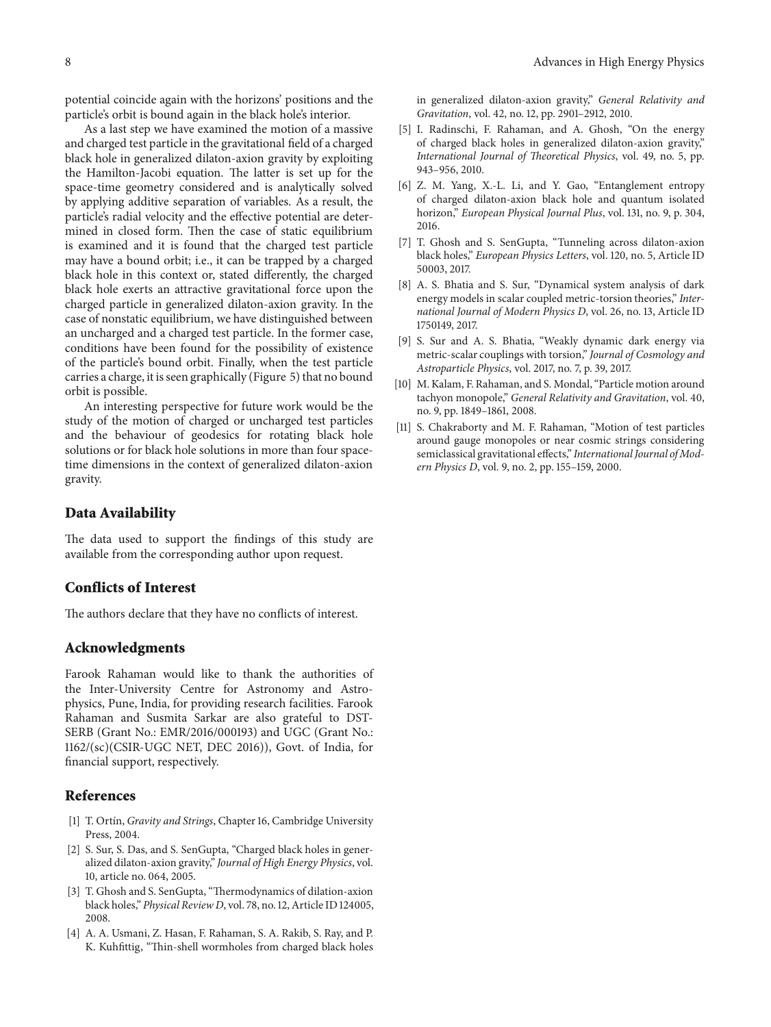potential coincide again with the horizons' positions and the particle's orbit is bound again in the black hole's interior.

As a last step we have examined the motion of a massive and charged test particle in the gravitational field of a charged black hole in generalized dilaton-axion gravity by exploiting the Hamilton-Jacobi equation. The latter is set up for the space-time geometry considered and is analytically solved by applying additive separation of variables. As a result, the particle's radial velocity and the effective potential are determined in closed form. Then the case of static equilibrium is examined and it is found that the charged test particle may have a bound orbit; i.e., it can be trapped by a charged black hole in this context or, stated differently, the charged black hole exerts an attractive gravitational force upon the charged particle in generalized dilaton-axion gravity. In the case of nonstatic equilibrium, we have distinguished between an uncharged and a charged test particle. In the former case, conditions have been found for the possibility of existence of the particle's bound orbit. Finally, when the test particle carries a charge, it is seen graphically [\(Figure 5\)](#page-6-2) that no bound orbit is possible.

An interesting perspective for future work would be the study of the motion of charged or uncharged test particles and the behaviour of geodesics for rotating black hole solutions or for black hole solutions in more than four spacetime dimensions in the context of generalized dilaton-axion gravity.

#### Data Availability

The data used to support the findings of this study are available from the corresponding author upon request.

#### Conflicts of Interest

The authors declare that they have no conflicts of interest.

#### Acknowledgments

Farook Rahaman would like to thank the authorities of the Inter-University Centre for Astronomy and Astrophysics, Pune, India, for providing research facilities. Farook Rahaman and Susmita Sarkar are also grateful to DST-SERB (Grant No.: EMR/2016/000193) and UGC (Grant No.: 1162/(sc)(CSIR-UGC NET, DEC 2016)), Govt. of India, for financial support, respectively.

#### References

- <span id="page-7-0"></span>[1] T. Ortín, Gravity and Strings, Chapter 16, Cambridge University Press, 2004.
- <span id="page-7-1"></span>[2] S. Sur, S. Das, and S. SenGupta, "Charged black holes in generalized dilaton-axion gravity," Journal of High Energy Physics, vol. 10, article no. 064, 2005.
- <span id="page-7-2"></span>[3] T. Ghosh and S. SenGupta, "Thermodynamics of dilation-axion black holes," Physical Review D, vol. 78, no. 12, Article ID 124005, 2008.
- <span id="page-7-3"></span>[4] A. A. Usmani, Z. Hasan, F. Rahaman, S. A. Rakib, S. Ray, and P. K. Kuhfittig, "Thin-shell wormholes from charged black holes

in generalized dilaton-axion gravity," General Relativity and Gravitation, vol. 42, no. 12, pp. 2901–2912, 2010.

- <span id="page-7-4"></span>[5] I. Radinschi, F. Rahaman, and A. Ghosh, "On the energy of charged black holes in generalized dilaton-axion gravity," International Journal of Theoretical Physics, vol. 49, no. 5, pp. 943–956, 2010.
- <span id="page-7-5"></span>[6] Z. M. Yang, X.-L. Li, and Y. Gao, "Entanglement entropy of charged dilaton-axion black hole and quantum isolated horizon," European Physical Journal Plus, vol. 131, no. 9, p. 304, 2016.
- <span id="page-7-6"></span>[7] T. Ghosh and S. SenGupta, "Tunneling across dilaton-axion black holes," European Physics Letters, vol. 120, no. 5, Article ID 50003, 2017.
- <span id="page-7-7"></span>[8] A. S. Bhatia and S. Sur, "Dynamical system analysis of dark energy models in scalar coupled metric-torsion theories," International Journal of Modern Physics D, vol. 26, no. 13, Article ID 1750149, 2017.
- <span id="page-7-8"></span>[9] S. Sur and A. S. Bhatia, "Weakly dynamic dark energy via metric-scalar couplings with torsion," Journal of Cosmology and Astroparticle Physics, vol. 2017, no. 7, p. 39, 2017.
- <span id="page-7-9"></span>[10] M. Kalam, F. Rahaman, and S. Mondal, "Particle motion around tachyon monopole," General Relativity and Gravitation, vol. 40, no. 9, pp. 1849–1861, 2008.
- <span id="page-7-10"></span>[11] S. Chakraborty and M. F. Rahaman, "Motion of test particles around gauge monopoles or near cosmic strings considering semiclassical gravitational effects," International Journal of Modern Physics D, vol. 9, no. 2, pp. 155–159, 2000.